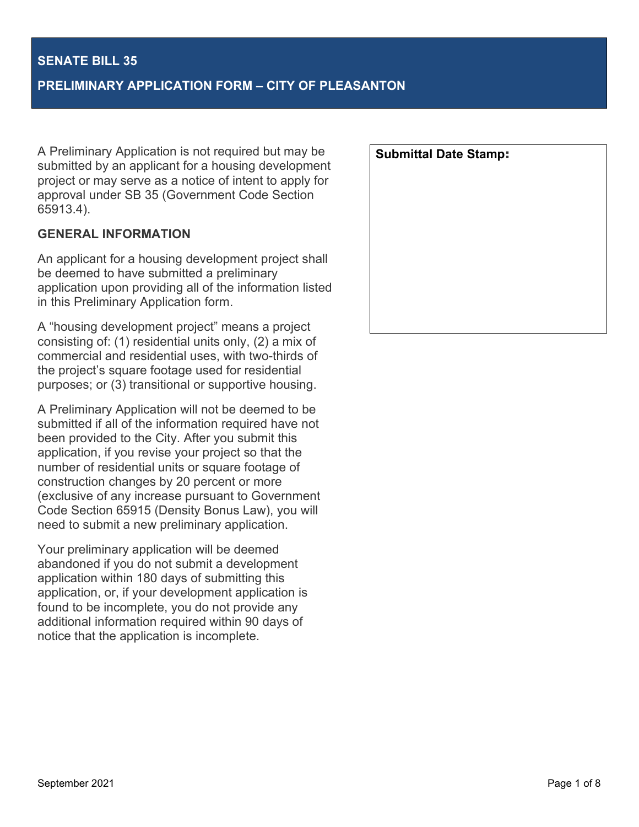# **SENATE BILL 35**

# **PRELIMINARY APPLICATION FORM – CITY OF PLEASANTON**

A Preliminary Application is not required but may be submitted by an applicant for a housing development project or may serve as a notice of intent to apply for approval under SB 35 (Government Code Section 65913.4).

### **GENERAL INFORMATION**

An applicant for a housing development project shall be deemed to have submitted a preliminary application upon providing all of the information listed in this Preliminary Application form.

A "housing development project" means a project consisting of: (1) residential units only, (2) a mix of commercial and residential uses, with two-thirds of the project's square footage used for residential purposes; or (3) transitional or supportive housing.

A Preliminary Application will not be deemed to be submitted if all of the information required have not been provided to the City. After you submit this application, if you revise your project so that the number of residential units or square footage of construction changes by 20 percent or more (exclusive of any increase pursuant to Government Code Section 65915 (Density Bonus Law), you will need to submit a new preliminary application.

Your preliminary application will be deemed abandoned if you do not submit a development application within 180 days of submitting this application, or, if your development application is found to be incomplete, you do not provide any additional information required within 90 days of notice that the application is incomplete.

# **Submittal Date Stamp:**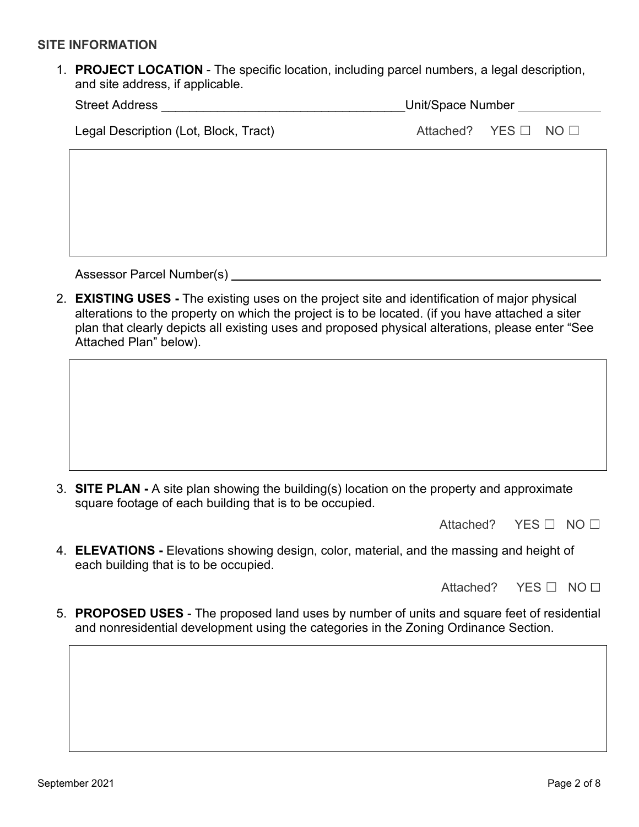### **SITE INFORMATION**

1. **PROJECT LOCATION** - The specific location, including parcel numbers, a legal description, and site address, if applicable.

| <b>Street Address</b> |  |                                                     |  |
|-----------------------|--|-----------------------------------------------------|--|
|                       |  |                                                     |  |
|                       |  | Unit/Space Number<br>Attached? YES $\Box$ NO $\Box$ |  |

Assessor Parcel Number(s)

2. **EXISTING USES -** The existing uses on the project site and identification of major physical alterations to the property on which the project is to be located. (if you have attached a siter plan that clearly depicts all existing uses and proposed physical alterations, please enter "See Attached Plan" below).

3. **SITE PLAN -** A site plan showing the building(s) location on the property and approximate square footage of each building that is to be occupied.

Attached? YES □ NO □

4. **ELEVATIONS -** Elevations showing design, color, material, and the massing and height of each building that is to be occupied.

Attached? YES □ NO □

5. **PROPOSED USES** - The proposed land uses by number of units and square feet of residential and nonresidential development using the categories in the Zoning Ordinance Section.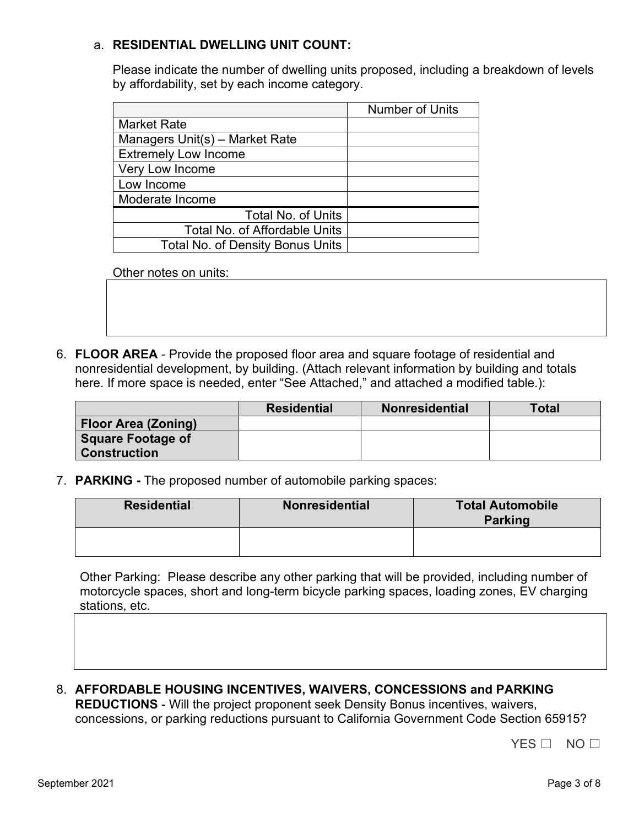# a. **RESIDENTIAL DWELLING UNIT COUNT:**

Please indicate the number of dwelling units proposed, including a breakdown of levels by affordability, set by each income category.

|                                         | <b>Number of Units</b> |
|-----------------------------------------|------------------------|
| <b>Market Rate</b>                      |                        |
| Managers Unit(s) – Market Rate          |                        |
| <b>Extremely Low Income</b>             |                        |
| Very Low Income                         |                        |
| Low Income                              |                        |
| Moderate Income                         |                        |
| <b>Total No. of Units</b>               |                        |
| <b>Total No. of Affordable Units</b>    |                        |
| <b>Total No. of Density Bonus Units</b> |                        |

Other notes on units:

6. **FLOOR AREA** - Provide the proposed floor area and square footage of residential and nonresidential development, by building. (Attach relevant information by building and totals here. If more space is needed, enter "See Attached," and attached a modified table.):

|                            | <b>Residential</b> | <b>Nonresidential</b> | <b>Total</b> |
|----------------------------|--------------------|-----------------------|--------------|
| <b>Floor Area (Zoning)</b> |                    |                       |              |
| Square Footage of          |                    |                       |              |
| <b>Construction</b>        |                    |                       |              |

7. **PARKING -** The proposed number of automobile parking spaces:

| <b>Residential</b> | <b>Nonresidential</b> | <b>Total Automobile</b><br><b>Parking</b> |
|--------------------|-----------------------|-------------------------------------------|
|                    |                       |                                           |

Other Parking: Please describe any other parking that will be provided, including number of motorcycle spaces, short and long-term bicycle parking spaces, loading zones, EV charging stations, etc.

8. **AFFORDABLE HOUSING INCENTIVES, WAIVERS, CONCESSIONS and PARKING REDUCTIONS** - Will the project proponent seek Density Bonus incentives, waivers, concessions, or parking reductions pursuant to California Government Code Section 65915?

 $YES \Box NO \Box$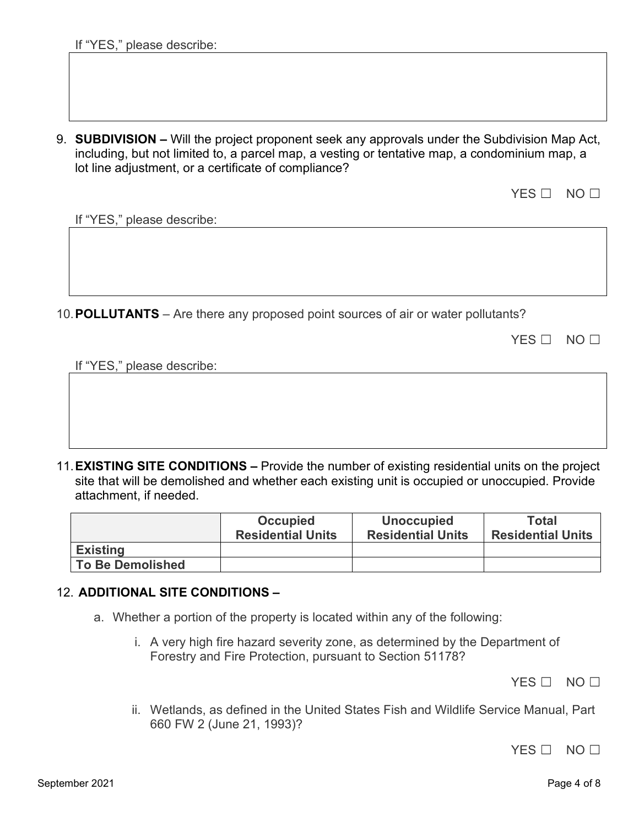If "YES," please describe:

9. **SUBDIVISION –** Will the project proponent seek any approvals under the Subdivision Map Act, including, but not limited to, a parcel map, a vesting or tentative map, a condominium map, a lot line adjustment, or a certificate of compliance?

 $YFS \Box NO \Box$ 

If "YES," please describe:

10.**POLLUTANTS** – Are there any proposed point sources of air or water pollutants?

| — ר. | $N$ $\cap$ $\Box$ |  |
|------|-------------------|--|
|      |                   |  |

If "YES," please describe:

11.**EXISTING SITE CONDITIONS –** Provide the number of existing residential units on the project site that will be demolished and whether each existing unit is occupied or unoccupied. Provide attachment, if needed.

|                         | Occupied<br><b>Residential Units</b> | <b>Unoccupied</b><br><b>Residential Units</b> | Total<br><b>Residential Units</b> |
|-------------------------|--------------------------------------|-----------------------------------------------|-----------------------------------|
| <b>Existing</b>         |                                      |                                               |                                   |
| <b>To Be Demolished</b> |                                      |                                               |                                   |

# 12. **ADDITIONAL SITE CONDITIONS –**

- a. Whether a portion of the property is located within any of the following:
	- i. A very high fire hazard severity zone, as determined by the Department of Forestry and Fire Protection, pursuant to Section 51178?

YES □ NO □

ii. Wetlands, as defined in the United States Fish and Wildlife Service Manual, Part 660 FW 2 (June 21, 1993)?

 $YFS \Box NO \Box$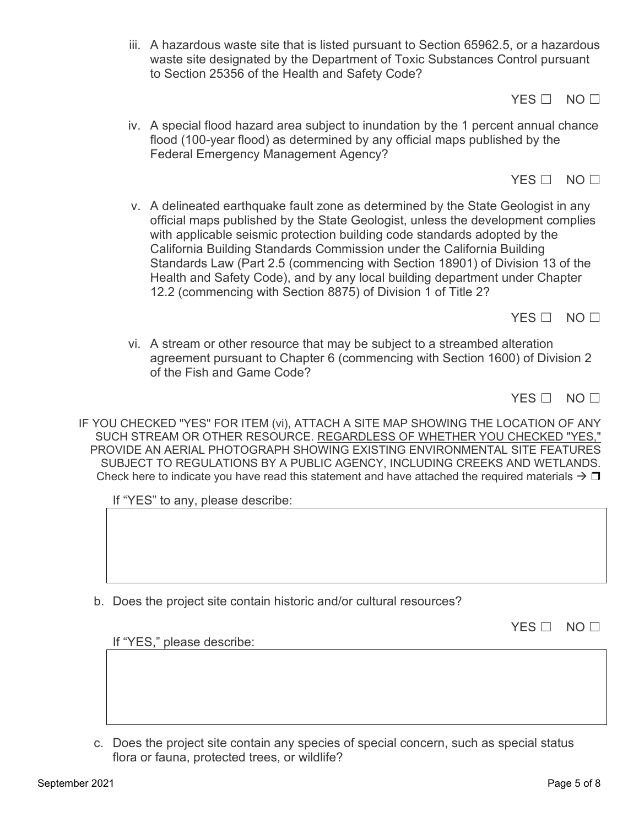If "YES," please describe:

September 2021 Page 5 of 8

iii. A hazardous waste site that is listed pursuant to Section 65962.5, or a hazardous waste site designated by the Department of Toxic Substances Control pursuant to Section 25356 of the Health and Safety Code?

YES □ NO □

iv. A special flood hazard area subject to inundation by the 1 percent annual chance flood (100-year flood) as determined by any official maps published by the Federal Emergency Management Agency?

YES □ NO □

v. A delineated earthquake fault zone as determined by the State Geologist in any official maps published by the State Geologist, unless the development complies with applicable seismic protection building code standards adopted by the California Building Standards Commission under the California Building Standards Law (Part 2.5 (commencing with Section 18901) of Division 13 of the Health and Safety Code), and by any local building department under Chapter 12.2 (commencing with Section 8875) of Division 1 of Title 2?

YES □ NO □

vi. A stream or other resource that may be subject to a streambed alteration agreement pursuant to Chapter 6 (commencing with Section 1600) of Division 2 of the Fish and Game Code?

YES □ NO □

IF YOU CHECKED "YES" FOR ITEM (vi), ATTACH A SITE MAP SHOWING THE LOCATION OF ANY SUCH STREAM OR OTHER RESOURCE. REGARDLESS OF WHETHER YOU CHECKED "YES," PROVIDE AN AERIAL PHOTOGRAPH SHOWING EXISTING ENVIRONMENTAL SITE FEATURES SUBJECT TO REGULATIONS BY A PUBLIC AGENCY, INCLUDING CREEKS AND WETLANDS. Check here to indicate you have read this statement and have attached the required materials  $\rightarrow \Box$ 

If "YES" to any, please describe:

b. Does the project site contain historic and/or cultural resources?

c. Does the project site contain any species of special concern, such as special status flora or fauna, protected trees, or wildlife?

YES □ NO □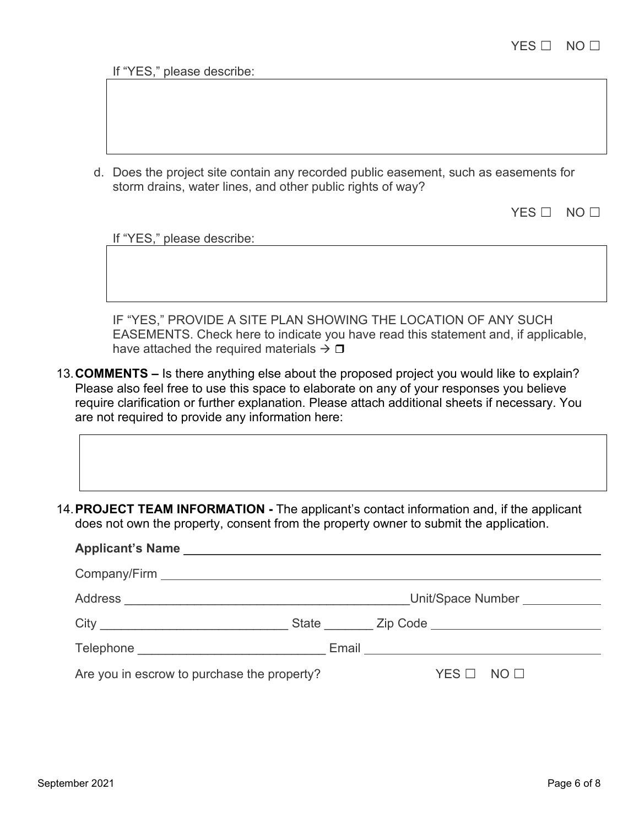If "YES," please describe:

d. Does the project site contain any recorded public easement, such as easements for storm drains, water lines, and other public rights of way?

If "YES," please describe:

IF "YES," PROVIDE A SITE PLAN SHOWING THE LOCATION OF ANY SUCH EASEMENTS. Check here to indicate you have read this statement and, if applicable, have attached the required materials  $\rightarrow \Box$ 

13.**COMMENTS –** Is there anything else about the proposed project you would like to explain? Please also feel free to use this space to elaborate on any of your responses you believe require clarification or further explanation. Please attach additional sheets if necessary. You are not required to provide any information here:

14.**PROJECT TEAM INFORMATION -** The applicant's contact information and, if the applicant does not own the property, consent from the property owner to submit the application.

|                                             |  |                            |                    | Unit/Space Number |
|---------------------------------------------|--|----------------------------|--------------------|-------------------|
|                                             |  |                            |                    |                   |
| Telephone _________________________________ |  | Email <u>Communication</u> |                    |                   |
| Are you in escrow to purchase the property? |  |                            | $YES \Box NO \Box$ |                   |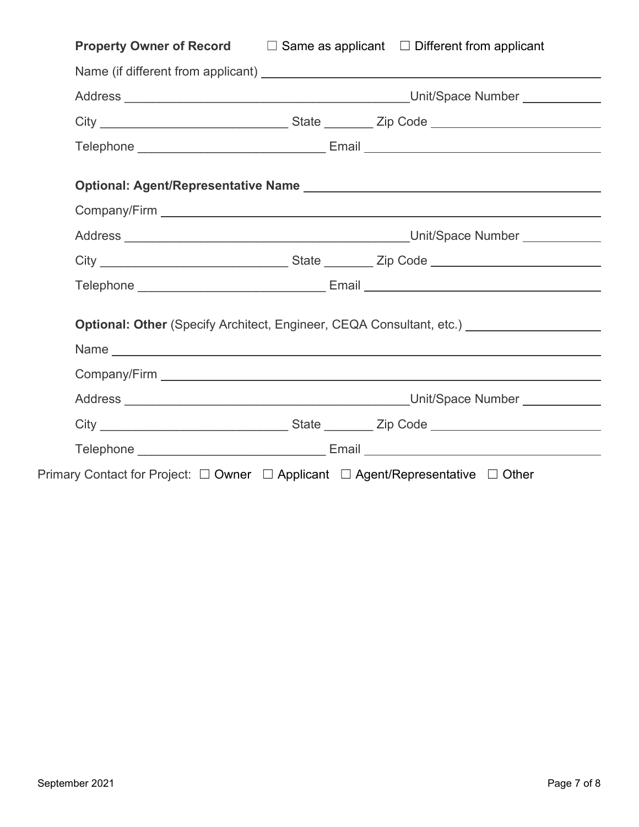|  | $\Box$ Same as applicant $\Box$ Different from applicant                                            |
|--|-----------------------------------------------------------------------------------------------------|
|  |                                                                                                     |
|  |                                                                                                     |
|  | City ___________________________________State __________ Zip Code _________________________________ |
|  |                                                                                                     |
|  |                                                                                                     |
|  |                                                                                                     |
|  |                                                                                                     |
|  | City ___________________________________State __________ Zip Code _________________________________ |
|  |                                                                                                     |
|  | Telephone ___________________________________Email _____________________________                    |
|  |                                                                                                     |
|  |                                                                                                     |
|  | Optional: Other (Specify Architect, Engineer, CEQA Consultant, etc.) [2001]                         |
|  |                                                                                                     |
|  | City __________________________________State __________ Zip Code __________________________________ |